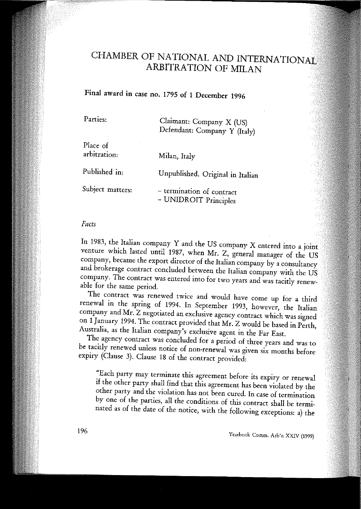# CHAMBER OF NATIONAL AND INTERNATIONAL ARBITRATION OF MILAN

Final award in case no. 1795 of 1 December 1996

| Parties:                 | Claimant: Company X (US)<br>Defendant: Company Y (Italy) |
|--------------------------|----------------------------------------------------------|
| Place of<br>arbitration: | Milan, Italy                                             |
| Published in:            | Unpublished. Original in Italian                         |
| Subject matters:         | - termination of contract<br>- UNIDROIT Principles       |

#### *Facls*

In 1983, the Italian company Y and the US company X entered into a joint venture which lasted unril 1987, when Mr. Z, generai manager of the US company, became the export director of the Italian company by a consultancy and brokerage contract concluded between the Italian company with the US **company. The contrae! was entered iuta for two years and was tacitly renew**able for the same period.

The contract was renewed twice and would have come up for a third renewal in the spring of 1994. In September 1993, however, the Italian company and Mr. Z negotiated an exclusive agency contract which was signed on 1January 1994. The contract provided that Mr. Z would be based in Perth, Australia, as the Italian company's exclusive agent in the Far East.

The agency contract was concluded for a period of three years and was to be tacitly renewed unless notice of non-renewal was given six months before expiry (Clause 3). Clause 18 of the contract provided:

**"Each party may terminate this agreement befare its expiry or renewal** if the other party shall find that this agreement has been violated by the other party and the violation has not been cured. In case of termination by one of the parties, all the conditions of this contract shall be terminated as of the date of the notice, with the following exceptions: a) the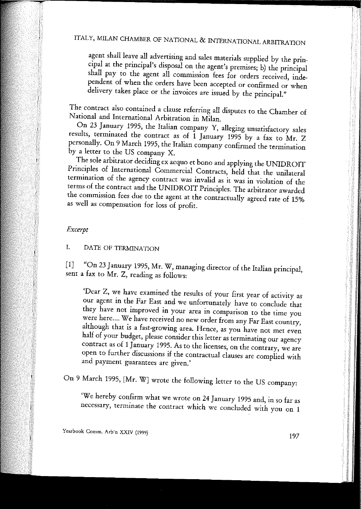agent shall leave all advertising and sales materials supplied by the principal at the principal's disposal on the agent's premises; b) the principal shall pay to the agent all commission fees for orders received, independent of when the orders have been accepted or confirmed or when delivery takes piace or the invoices are issued by the principa1."

The contract also contained a clause referring ali disputes to the Chamber of National and International Arbitration in Milan.

On 23 January 1995, the Italian company Y, alleging unsatisfactory sales results, terminated the contract as of 1 January 1995 by a fax to Mr. Z persona1ly. On 9 March 1995, the Italian company confirmed the termination by a letter to the US company X.

The sole arbitrator deciding ex aequo et bono and applying the UNIDROIT Principles of International Commercial Contracts, held that the unilateral **termination cf the agency contrae! was invalid as it was in violation af the** terms of the contract and the UNIDROIT Principles. The arbitrator awarded the commission fees due to the agent at the contractually agreed rate of 15% as well as compensation for loss of profit.

## *Excerpt*

I. DATE OF TERMINATION

[1] "On 23 January 1995, Mr. W, managing director of the Italian principal, sent a fax to Mr. Z, reading as follows:

'Dear Z, we have examined the results of your first year of activity as our agent in the Far East and we unfonunately have to conclude that **they have not improved in yOU! area in comparison to the time you were here.... We have received no new order from any Far East country,** although that is a fast-growing area. Hence, as you have not met even half of your budget, please consider this letter as terminating our agency contract as of 1January 1995. As to the licenses, on the contrary, we are open to further discussions if the contractual clauses are complied with **and payment guarantees are given.'**

On 9 March 1995, [Mr. W] wrote the following letter to the US company:

'We hereby confirm what we wrote on 24 January 1995 and, in so far as **necessary, terminate the contrae! which we concluded with YOti on 1**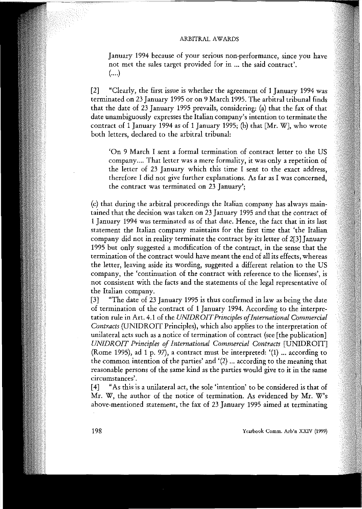**January 1994 because cf your serious non-performance, since you have** not met the sales target provided for in ... the said eontraet'. (....)

[2] "Clearly, the first issue is whether the agreement of l January 1994 was terminated on 23 January 1995 or on 9 Mareh 1995. The arbitrai tribunal finds that the date of 23 January 1995 prevails, eonsidering: (a) that the fax of that date unambiguously expresses the Italian eompany's intention to terminate the contract of 1 January 1994 as of 1 January 1995; (b) that  $[Mr, W]$ , who wrote both letters, declared to the arbitral tribunal:

'On 9 Mareh I sent a formai termination of eontraet letter to the US eompany.... That letter was a mere formality, it was only a repetition of the letter of 23 January which this time I sent to the exact address, therefore I did not give further explanations. As far as I was concerned, **the contraet was terminated on 23 January';**

(c) that during the arbitrai proeeedings the Italian eompany has always maintained that the deeision was taken on 23 January 1995 and that the contraet of l January 1994 was terminated as of that date. Henee, the faet that in its last statement the Italian eompany maintains for the first time that 'the Italian eompany did not in reality terminate the eontraet by-its letter of 2[3] January 1995 but only suggested a modifieation of the eontraet, in the sense that the termination of the contract would have meant the end of all its effects, whereas the letter, leaving aside its wording, suggested a different relation to the US **company, the 'continuation af the contraet with reference to the licenses', is** not consistent with the faets and the statements of the legai representative of the Italian eompany.

[3] "The date of 23 January 1995 is thus eonfirmed in law as being the date of termination of the eontraet of l January 1994. Aeeording to the interpretation rule in Art. 4.1 of the *UNIDROITPrinciples olInternational Commerciai Contraets* (UNIDROIT Prineiples), whieh also applies to the interpretation of unilateral acts such as a notice of termination of contract (see [the publication] *UNIDROIT Principles of International Commercial Contracts* [UNIDROIT] (Rome 1995), ad 1 p. 97), a contract must be interpreted: '(1) ... according to the common intention of the parties' and '(2) ... aeeording to the meaning that reasonable persons of the same kind as the parties would give to it in the same **circumstances'.**

[4] "As this is a unilateral act, the sole 'intention' to be considered is that of Mr. W, the author of the notiee of termination. As evideneed by Mr. W's above-mentioned statement, the fax of 23 January 1995 aimed at terminating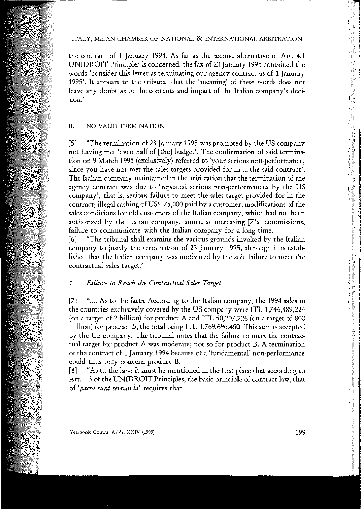#### ITALY, MILAN CHAMBER OF NATIONAL & INTERNATIONALARBITRATION

the contract of l January 1994. As far as the second alternative in Art. 4.1 UNIDROIT Principles is concerned, the fax of 23 January 1995 contained the **words 'consider this letter as terminating our agency contrae! as cf 1 January** 1995'. It appears to the tribunal that the 'meaning' of these words does not leave any doubt as to the contents and impact of the Italian company's deci**sian."**

#### II. NO VALID TERMINATION

[5] "The termination of 23 January 1995 was prompted by the US company not having met 'even haH of [the] budget'. The confirmation of said termination on 9 March 1995 (exclusively) referred to 'your serious non-performance, **since you have no! me! the sales targets provided for in 0.0 the said contraet'.** The Italian company maintained in the arbitration that the termination of the **agency contrae! was due to 'repeated serious non-performances by the US** company', that is, serious failure to meet the sales target provided for in the contract; illegal cashing of US\$ 75,000 paid by a customer; modifications of the sales conditions for old customers of the Italian company, which had not been **authorized by the Italian company, aimed at increasing [2'5] commissions;** failure to communicate with the Italian company for a long time.

[6] "The tribunal shall examine the various grounds invoked by the Italian company to justify the termination of 23 January 1995, although it is established that the Italian company was motivated by the sole failure to meet the **contractual sales target."**

## *1. Failure to Reach the Contractual Sales Target*

[7] ".... As to the facts: According to the Italian company, the 1994 sales in the countries exclusively covered by the US company were ITL 1,746,489,224 (on a target of 2 billion) for product A and ITL 50,207,226 (on a target of 800 million) for product B, the total being ITL 1,769,696,450. This sum is accepted by the US company. The tribunal notes that the failure to meet the contractual target for product A was moderate; not so for product B. A termination of the contract of l January 1994 because of a 'fundamental' non-performance could thus only concern product B.

[8] "As to the law: It must be mentioned in the first pIace that according to Art. 1.3 of the UNIDROIT Principles, the basic principle of contract law, that **cf** *'pacta sunt servanda'* **requires that**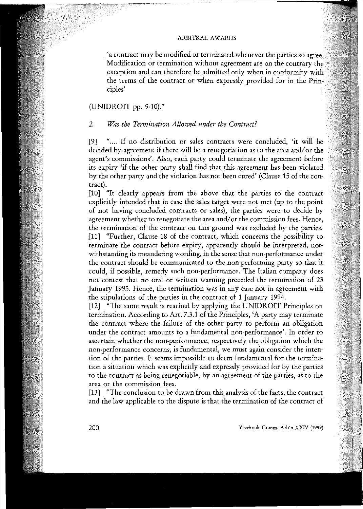**'a contraet may be modified or terminated whenever the parties so Modification or termination without agreement are on the contrary** exception and can therefore be admitted only when in conformity with the terms of the contract or when expressly provided for in the Principles'

## (UNIDROIT pp. 9-10)."

## *2. Was the Termination Allowed under the Contract?*

[9] ".... If no distribution or sales contracts were concluded, 'it will be decided by agreement if there will be a renegotiation as to the area and/or the **agent's commissions'. Also, each party couId terminate the agreement befare** its expiry 'if the other party shall find that tbis agreement has been violated by the other party and the violation has not been cured' (Clause 15 of the contract).

[10] "It clearly appears from the above that the parties to the contract explicitly intended that in case the sales target were not met (up to the point of not having concluded contracts or sales), the parties were to decide by **agreement whether to renegotiate the area andlof the commission fees. Hence,** the termination of the contract on this ground was excluded by the parties. [11] "Further, Clause 18 of the contract, which concerns the possibility to terminate the contract before expiry, apparently should be interpreted, not**withstanding its meandering wording, in the sense thar non-performance under** the contract should be communicated to the non-performing party so that it could, if possible, remedy such non-performance. The Italian company does not contest rhat no oral or written warning preceded the termination of 23 **January 1995. Hence, the termination was in any case not in agreement with** the stipulations of the parties in the contract of 1 January 1994.

[12] "The same result is reached by applying the UNIDROIT Principles on termination. According to Art. 7.3.1 of the Principles, 'A party may terminate the contract where the failure of the other party to perform an obligation **under the contraet amounts to a fundamental non-performance'. In order to** ascertain whether the non-performance, respectively the obligation which the **non-performance concerns, is fundamental, we must again consider the inten**tion of the parties. It seems impossible to deem fundamental for the termination a situation which was explicitly and expressly provided for by the parties **to the contract as being renegotiable, by an agreement of the parties, as to the area or the commission fees.**

[13] "The conclusion to be drawn from this analysis of the facts, the contract and the law applicable to the dispute is that the termination of the contract of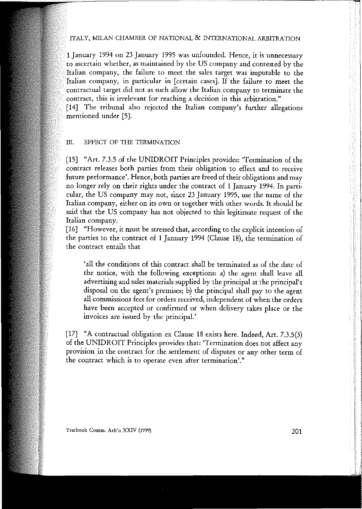#### ITALY, MILAN CHAMBER OF NATIONAL & INTERNATIONAL ARBITRATION

1 January 1994 on 23 January 1995 was unfounded. Hence, it is unnecessary ascertain whether, as maintained by the US company and contested by the Italian company, the failure to meet the sales target was imputable to the Italian company, in particular in [certain cases]. If the failure to meet the contractual target did not as such allow the Italian company to terminate the **contrae!, this is irrelevant for reaching a decision in this arbitration."**

[14] The tribunal also rejected the Italian company's further allegations mentioned under [5].

#### III. EFFECT OF THE TERMINATION

[15] "Art. 7.3.5 of the UNIDROIT Principles provides: 'Termination of the contract releases both parties from their obligation to effect and to receive future performance'. Hence, both parties are freed of their obligations and may no longer rely on their rights under the contract of 1 January 1994. In particular, the US company may not, since 23 January 1995, use the name of the Italian company, either on its own or together with other words. It should be said that the US company has not objected to this legitimate request of the Italian company.

[16] "However, it must be stressed that, according to the explicit intention of the parties to the contract of 1 January 1994 (Clause 18), the termination of **the contraet entails that**

'ali the conditions of this contract shall be terminated as of the date of the notice, with the following exceptions: a) the agent shall leave ali advertising and sales materials supplied by the principal at the principal's disposal on the agent's premises; b) the principal shall pay to the agent ali commissions fees for orders received, independent of when the orders have been accepted or confirmed or when delivery takes place or the **invoices are issued by the principal.'**

[17] "A contractual obligation ex Clause 18 exists here. Indeed, Art. 7.3.5(3) of the UNIDROIT Principles provides that: 'Termination does not affect any provision in the contract for the settlement of disputes or any other term of **the contrae! which is to operate even after termìnation'."**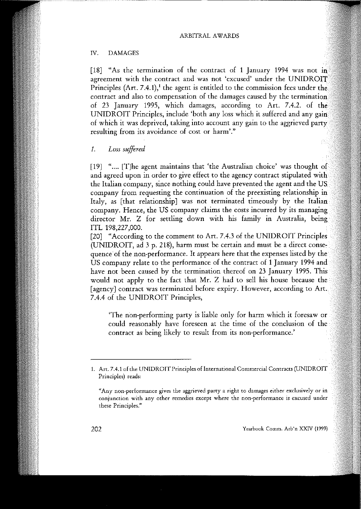#### IV. DAMAGES

[18] "As the termination of the contract of 1 January 1994 was not in **agreement** with the contract and was not 'excused' under the UNIDROIT Principles  $(Art. 7.4.1)$ ,<sup>1</sup> the agent is entitled to the commission fees under the  $\overline{\text{contract}}$  and also to compensation of the damages caused by the termination of 23 January 1995, which damages, according to Art. 7.4.2. of the UNIDROIT Principles, include 'both any loss which it suffered and any gain of which it was deprived, taking into account any gain to the aggrieved **resulting from its avoidance af cast or harm',"**

*1. Loss suffered*

[19] ".... [T]he agent maintains that 'the Australian choice' was thought of and agreed upon in order to give effect to the agency contract stipulated with the Itahan company, since nothing could have prevented the agent and the US company from requesting the continuation of the preexisting relationship in Italy, as [that relationship] was not terminated timeously by the Italian company. Hence, the US company claims the costs incurred by its managing. director Mr. Z for settling down with his family in Australia, being ITL 198,227,000.

[20] "According to the comment to Art. 7.4.3 of the UNIDROIT Principles (UNIDROIT, ad 3 p. 218), harm must be certain and must be a direct consequence of the non-performance. It appears here that the expenses listed by the US company relate to the performance of the contract of 1 January 1994 and have not been caused by the termination thereof on 23 January 1995. This would not apply to the fact that Mr. Z had to seli his house because the **[agency] contraet was terminated befare expiry. However, according to** 7.4.4 of the UNIDROIT Principles,

'The non-performing party is liable only for harm which it foresaw or could reasonably have foreseen at the time of the conclusion of the **contraet as being likely to result from its non-performance.'**

**<sup>1.</sup> Art. 7.4.1 of the UNIDROIT Principles of International Commercial Contracts (UNIDROIT Principles) reads:**

**<sup>&</sup>quot;Any non-performance gives the aggrieved party a right to damages eithcr exclusively or in conjunction with any other remedies except where the non-performance i5 excused under these Principles."**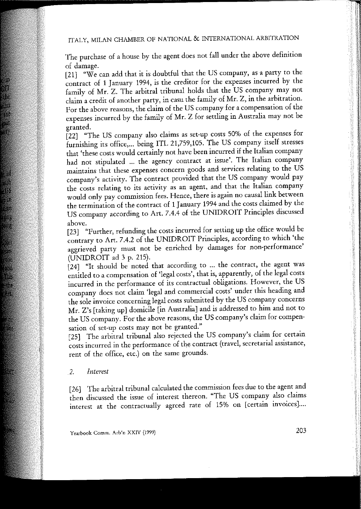## ITALY, MILAN CHAMBER OF NATIONAL & INTERNATIONAL ARBITRATION

The purchase of a house by the agent does not fail under the above definition of damage.

[21] "We can add that it is doubtful that the US company, as a party to the contract of 1 January 1994, is the creditor for the expenses incurred by the family of Mr. Z. The arbitraI tribunal holds that the US company may not claim a credit of another party, in casu the family of Mr. Z, in the arbitration. For the above reasons, the claim of the US company for a compensation of the expenses incurred by the family of Mr. Z for settling in Australia may not be granted.

[22] "The US company also claims as set-up costs 50% of the expenses for furnishing its office,... being ITL 21,759,105. The US company itself stresses that 'these costs would certainly not have been incurred if the Italian company had not stipulated ... the agency contract at issue'. The Italian company **maintains that these expenses concern goods and services relating to the US** company's activity. The contract provided that the US company would pay the costs relating to its activity as an agent, and that the Italian company would only pay commission fees. Hence, there is again no causal link between the termination of the contract of 1 January 1994 and the costs claimed by the US company according to Art. 7.4.4 of the UNIDROIT Principles discussed above.

[23] "Further, refunding the costs incurred for setting up the office would be contrary to Art. 7.4.2 of the UNIDROIT Principles, according to which 'the aggrieved party must not be enriched by damages for non-performance' (UNIDROIT ad 3 p. 215).

[24] "It should be noted that according to ... the contract, the agent was entitled to a compensation of 'legal costs', that is, apparently, of the legal costs incurred in the performance of its contractual obligations. However, the US company does not claim 'legal and commercial costs' under this heading and the sole invoice concerning legal costs submitted by the US company concerns Mr. Z's [taking up] domicile [in Australia] and is addressed to him and not to the US company. For the above reasons, the US company's claim for compen**sation af** set~up **costs may nor be granted."**

[25] The arbitral tribunal also rejected the US company's claim for certain **costs incurred in the performance cf the contrae! (travel, secretarial assistance,** rent of the office, etc.) on the same grounds.

## *2. Interest*

[26] The arbitrai tribunal caIculated the commission fees due to the agent and then discussed the issue of interest thereon. "The US company also claims **interest at the contractual1y agrced rate cf 15% on [certain invoìces]. ...**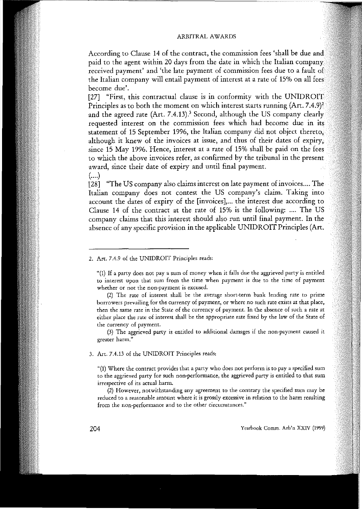According to Clause 14 of the contract, the commission fees 'shall be due and paid to the agent within 20 days from the date in which the Italian company **received payment' and 'the late payment of commission fees due to a** the Italian company will entail payment of interest at a rate of 15% on all fees **become due'.**

[27] "First, this contractual clause is in conformity with the UNIDROIT Principles as to both the moment on which interest starts running (Art. 7.4.9)<sup>2</sup> and the agreed rate (Art. 7.4.13).<sup>3</sup> Second, although the US company clearly. requested interest on the commission fees which had become due in its statement of 15 September 1996, the Italian company did not object thereto, although it knew of the invoices at issue, and thus of their dates of expiry, since 15 May 1996. Hence, interest at a rate of 15% shall be paid on the fees to which the above invoices refer, as confirmed by the tribunal in the present award, since their date of expiry and until final payment. (....)

[28] "The US company also claims interest on late payment of invoices.... The Italian company does not contest the US company's claim. Taking into account the dates of expiry of the [invoices],... the interest due according to Clause 14 of the contract at the rate of 15% is the following: .... The US company claims that this interest should also run until final payment. In the absence of any specific provision in the applicable UNIDROIT Principles (Art.

**2. Art. 7.4.9 af the UNIDROIT Principles reads:**

**(3) The aggrieved party is entitled to additional daroages if the non-payroent caused it greater harro."**

**3. Art. 7.4.13 of the UNIDROIT Principles reads:**

**"(1) Where the contract provides that a party who does not perform is to pay a specified sum to the aggrieved party for such non-performance, the aggrieved party is entitled to thai sum irrespective of its acrual harm.**

**(2) However, notwithstanding any agreement to the contrary the specified suro may be reduced to a reasonable amount where it is grossly excessive in relation to the harm resulting from the non-performance and to the other circurostances."**

<sup>&</sup>quot;(1) If a party does not pay a sum of money when it falls due the aggrieved party is entitled **to interest upan thar SUfi fram the rime when payment is due to the rime af payment whether or no! the non-payment is excused.**

**<sup>(2)</sup> The rate af interest shall be the average shoft-terro bank lending rate to prime borrowers prevailing for the currency af payment, or where no such rate exists at thar place,** then the same rate in the State of the currency of payment. In the absence of such a rate at either place the rate of interest shall be the appropriate rate fixed by the law of the State of **the currency of payroent.**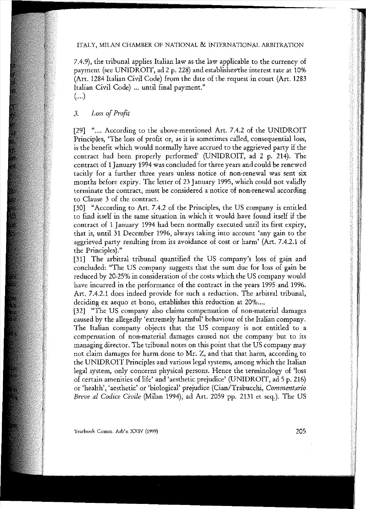#### ITALY, MILAN CHAMBER OF NATIONAL & INTERNATIONAL ARBlTRATION

7.4.9), the tribunal applies Italian law as the law applicable to the currency of payment (see UNIDROIT, ad 2 p. 228) and establishes the interest rate at 10%  $[Art. 1284]$  Italian Civil Code) from the date of the request in court (Art. 1283) Italian Civil Code) ... until final payment." (....)

## *3. Loss 01Pro/ìt*

[29] ".... According to the above-mentioned Art. 7.4.2 of the UNIDROIT **Principles, 'The 10\$\$ cf prefi! Of, as it is sometimes called, consequentialloss,** is the benefit which would normally have accrued to the aggrieved party if the contract had been properly performed' (UNIDROIT, ad 2 p. 214). The contract of 1January 1994 was concluded forthree years and could be renewed tacitly for a further three years unless notice of non-renewal was sent six months before expiry. The letter of 23 January 1995, which could not validly **terminate the contrae!, ffiust be considered a natice af nonwrenewal according** to Clause 3 of the contract.

[30] "According to Art. 7.4.2 of the Principles, the US company is entitled to find itself in the same situation in which it would have found itself if the contract of 1 January 1994 had been normally executed until its first expiry, that is, until 31 December 1996, always taking into account 'any gain to the aggrieved party resulting from its avoidance of cost or harm' (Art. 7.4.2.1 of the Principles)."

[31] The arbitral tribunal quantified the US company's loss of gain and concluded: "The US company suggests that the sum due for loss of gain be reduced by 20-25% in consideration of the costs which the US company would have incurred in the performance of the contract in the years 1995 and 1996. Art. 7.4.2.1 does indeed provide for such a reduction. The arbitral tribunal, deciding ex aequo et bono, establishes this reduction at 20%....

[32] "The US company also claims compensation of non-material damages caused by the allegedly 'extremely harmful' behaviour of the Italian company. The Italian company objects that the US company is not entitled to a **eompensation cf** non~material **damages caused not the company but to its** managing director. The tribunal notes on this point that the US company may not claim damages for harm done to Mr. Z, and that that harm, according to the UNIDROIT Principles and various legal systems, among which the Italian legai system, only concerns physical persons. Hence the terminology of 'Ioss of certain amenities of life' and 'aesthetic prejudice' (UNIDROIT, ad 5 p. 216) or 'health', 'aesthetic' or 'biologica!' prejudice (Cian/Trabucchi, *Commentario Breve al Codice Civile* (Milan 1994), ad Art. 2059 pp. 2131 et seq.). The US